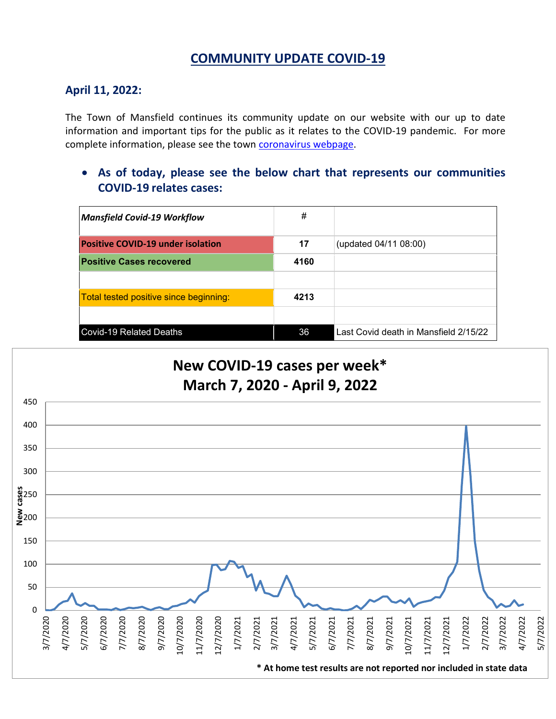# **COMMUNITY UPDATE COVID-19**

#### **April 11, 2022:**

The Town of Mansfield continues its community update on our website with our up to date information and important tips for the public as it relates to the COVID-19 pandemic. For more complete information, please see the town [coronavirus webpage.](https://www.mansfieldma.com/536/Coronavirus-Information)

• **As of today, please see the below chart that represents our communities COVID-19 relates cases:**

| <b>Mansfield Covid-19 Workflow</b>       | #    |                                       |
|------------------------------------------|------|---------------------------------------|
| <b>Positive COVID-19 under isolation</b> | 17   | (updated 04/11 08:00)                 |
| <b>Positive Cases recovered</b>          | 4160 |                                       |
|                                          |      |                                       |
| Total tested positive since beginning:   | 4213 |                                       |
|                                          |      |                                       |
| <b>Covid-19 Related Deaths</b>           | 36   | Last Covid death in Mansfield 2/15/22 |

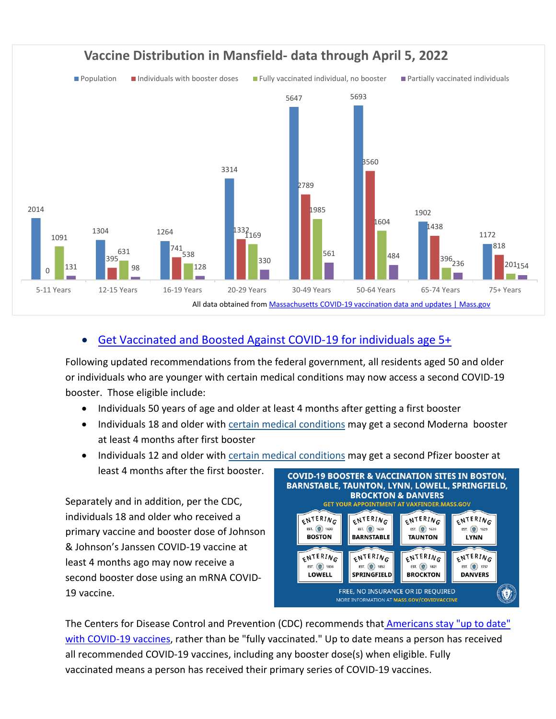

### • [Get Vaccinated and Boosted Against COVID-19](https://www.mass.gov/covid-19-vaccine) for individuals age 5+

Following updated recommendations from the federal government, all residents aged 50 and older or individuals who are younger with certain medical conditions may now access a second COVID-19 booster. Those eligible include:

- Individuals 50 years of age and older at least 4 months after getting a first booster
- Individuals 18 and older with [certain medical conditions](https://www.cdc.gov/coronavirus/2019-ncov/vaccines/recommendations/immuno.html?s_cid=10483:immunocompromised%20and%20covid%20vaccine:sem.ga:p:RG:GM:gen:PTN:FY21#mod) may get a second Moderna booster at least 4 months after first booster
- Individuals 12 and older with [certain medical conditions](https://www.cdc.gov/coronavirus/2019-ncov/vaccines/recommendations/immuno.html?s_cid=10483:immunocompromised%20and%20covid%20vaccine:sem.ga:p:RG:GM:gen:PTN:FY21#mod) may get a second Pfizer booster at least 4 months after the first booster.

Separately and in addition, per the CDC, individuals 18 and older who received a primary vaccine and booster dose of Johnson & Johnson's Janssen COVID-19 vaccine at least 4 months ago may now receive a second booster dose using an mRNA COVID-19 vaccine.



The Centers for Disease Control and Prevention (CDC) recommends that Americans stay "up to date" [with COVID-19 vaccines,](https://www.cdc.gov/coronavirus/2019-ncov/vaccines/stay-up-to-date.html) rather than be "fully vaccinated." Up to date means a person has received all recommended COVID-19 vaccines, including any booster dose(s) when eligible. Fully vaccinated means a person has received their primary series of COVID-19 vaccines.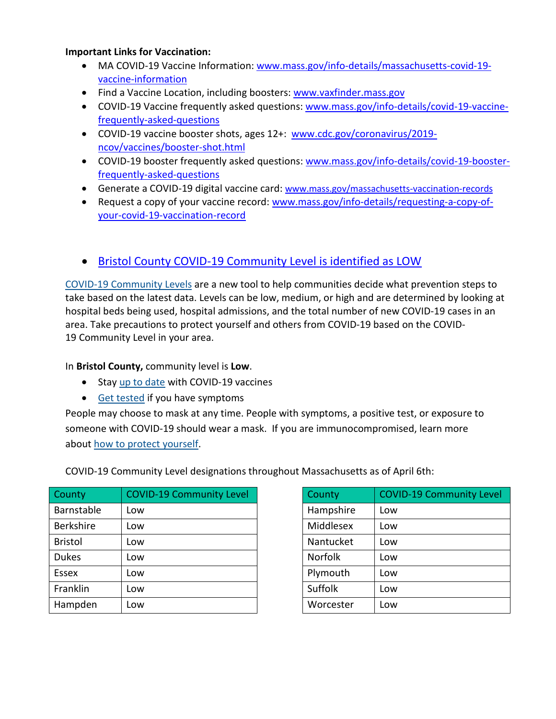#### **Important Links for Vaccination:**

- MA COVID-19 Vaccine Information: [www.mass.gov/info-details/massachusetts-covid-19](http://www.mass.gov/info-details/massachusetts-covid-19-vaccine-information) [vaccine-information](http://www.mass.gov/info-details/massachusetts-covid-19-vaccine-information)
- Find a Vaccine Location, including boosters: [www.vaxfinder.mass.gov](http://www.vaxfinder.mass.gov/)
- COVID-19 Vaccine frequently asked questions: [www.mass.gov/info-details/covid-19-vaccine](http://www.mass.gov/info-details/covid-19-vaccine-frequently-asked-questions)[frequently-asked-questions](http://www.mass.gov/info-details/covid-19-vaccine-frequently-asked-questions)
- COVID-19 vaccine booster shots, ages 12+: [www.cdc.gov/coronavirus/2019](http://www.cdc.gov/coronavirus/2019-ncov/vaccines/booster-shot.html) [ncov/vaccines/booster-shot.html](http://www.cdc.gov/coronavirus/2019-ncov/vaccines/booster-shot.html)
- COVID-19 booster frequently asked questions: [www.mass.gov/info-details/covid-19-booster](http://www.mass.gov/info-details/covid-19-booster-frequently-asked-questions)[frequently-asked-questions](http://www.mass.gov/info-details/covid-19-booster-frequently-asked-questions)
- Generate a COVID-19 digital vaccine card: [www.mass.gov/massachusetts-vaccination-records](http://www.mass.gov/massachusetts-vaccination-records)
- Request a copy of your vaccine record: [www.mass.gov/info-details/requesting-a-copy-of](http://www.mass.gov/info-details/requesting-a-copy-of-your-covid-19-vaccination-record)[your-covid-19-vaccination-record](http://www.mass.gov/info-details/requesting-a-copy-of-your-covid-19-vaccination-record)

### • [Bristol County COVID-19 Community Level is identified as LOW](https://www.cdc.gov/coronavirus/2019-ncov/your-health/covid-by-county.html?ACSTrackingID=USCDC_2145-DM76655&ACSTrackingLabel=02.25.2022%20-%20COVID-19%20Data%20Tracker%20Weekly%20Review&deliveryName=USCDC_2145-DM76655)

[COVID-19 Community Levels](https://www.cdc.gov/coronavirus/2019-ncov/science/community-levels.html) are a new tool to help communities decide what prevention steps to take based on the latest data. Levels can be low, medium, or high and are determined by looking at hospital beds being used, hospital admissions, and the total number of new COVID-19 cases in an area. Take precautions to protect yourself and others from COVID-19 based on the COVID-19 Community Level in your area.

In **Bristol County,** community level is **Low**.

- Stay [up to date](https://www.cdc.gov/coronavirus/2019-ncov/vaccines/stay-up-to-date.html) with COVID-19 vaccines
- [Get tested](https://www.cdc.gov/coronavirus/2019-ncov/testing/diagnostic-testing.html) if you have symptoms

People may choose to mask at any time. People with symptoms, a positive test, or exposure to someone with COVID-19 should wear a mask. If you are immunocompromised, learn more about [how to protect yourself.](https://www.cdc.gov/coronavirus/2019-ncov/science/community-levels.html#anchor_47145)

| County           | <b>COVID-19 Community Level</b> | <b>County</b>  | <b>COVID-19 Community Level</b> |
|------------------|---------------------------------|----------------|---------------------------------|
| Barnstable       | Low                             | Hampshire      | Low                             |
| <b>Berkshire</b> | Low                             | Middlesex      | Low                             |
| <b>Bristol</b>   | Low                             | Nantucket      | Low                             |
| <b>Dukes</b>     | Low                             | <b>Norfolk</b> | Low                             |
| Essex            | Low                             | Plymouth       | Low                             |
| Franklin         | Low                             | Suffolk        | Low                             |
| Hampden          | Low                             | Worcester      | Low                             |

COVID-19 Community Level designations throughout Massachusetts as of April 6th:

| County         | <b>COVID-19 Community Level</b> |
|----------------|---------------------------------|
| Hampshire      | Low                             |
| Middlesex      | Low                             |
| Nantucket      | Low                             |
| <b>Norfolk</b> | Low                             |
| Plymouth       | Low                             |
| Suffolk        | Low                             |
| Worcester      | Low                             |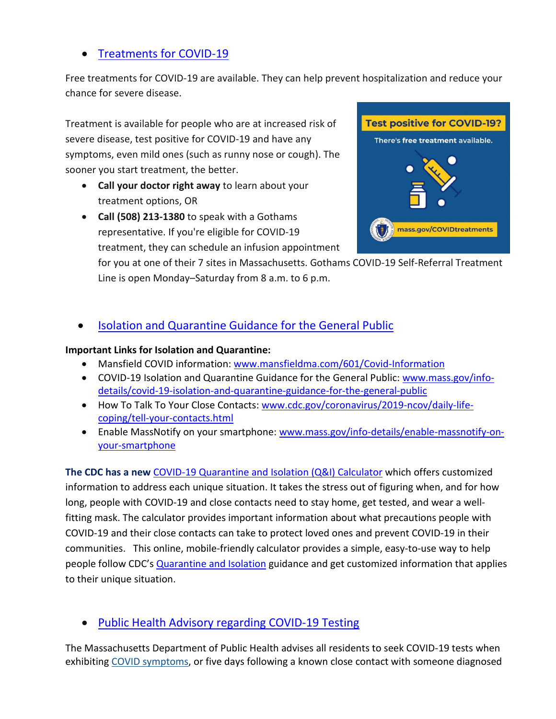# • [Treatments for COVID-19](https://www.mass.gov/info-details/treatments-for-covid-19)

Free treatments for COVID-19 are available. They can help prevent hospitalization and reduce your chance for severe disease.

Treatment is available for people who are at increased risk of severe disease, test positive for COVID-19 and have any symptoms, even mild ones (such as runny nose or cough). The sooner you start treatment, the better.

- **Call your doctor right away** to learn about your treatment options, OR
- **Call (508) 213-1380** to speak with a Gothams representative. If you're eligible for COVID-19 treatment, they can schedule an infusion appointment



for you at one of their 7 sites in Massachusetts. Gothams COVID-19 Self-Referral Treatment Line is open Monday–Saturday from 8 a.m. to 6 p.m.

• [Isolation and Quarantine Guidance for the General Public](https://www.mass.gov/info-details/isolation-and-quarantine-guidance-for-the-general-public)

### **Important Links for Isolation and Quarantine:**

- Mansfield COVID information: [www.mansfieldma.com/601/Covid-Information](http://www.mansfieldma.com/601/Covid-Information)
- COVID-19 Isolation and Quarantine Guidance for the General Public: [www.mass.gov/info](http://www.mass.gov/info-details/covid-19-isolation-and-quarantine-guidance-for-the-general-public)[details/covid-19-isolation-and-quarantine-guidance-for-the-general-public](http://www.mass.gov/info-details/covid-19-isolation-and-quarantine-guidance-for-the-general-public)
- How To Talk To Your Close Contacts: [www.cdc.gov/coronavirus/2019-ncov/daily-life](http://www.cdc.gov/coronavirus/2019-ncov/daily-life-coping/tell-your-contacts.html)[coping/tell-your-contacts.html](http://www.cdc.gov/coronavirus/2019-ncov/daily-life-coping/tell-your-contacts.html)
- Enable MassNotify on your smartphone: [www.mass.gov/info-details/enable-massnotify-on](http://www.mass.gov/info-details/enable-massnotify-on-your-smartphone)[your-smartphone](http://www.mass.gov/info-details/enable-massnotify-on-your-smartphone)

**The CDC has a new** [COVID-19 Quarantine and Isolation \(Q&I\) Calculator](https://protect-us.mimecast.com/s/ITAHCW6pAlhYKkOfnm4Tg?domain=cdc.gov) which offers customized information to address each unique situation. It takes the stress out of figuring when, and for how long, people with COVID-19 and close contacts need to stay home, get tested, and wear a wellfitting mask. The calculator provides important information about what precautions people with COVID-19 and their close contacts can take to protect loved ones and prevent COVID-19 in their communities. This online, mobile-friendly calculator provides a simple, easy-to-use way to help people follow CDC's **Quarantine and Isolation** guidance and get customized information that applies to their unique situation.

# • [Public Health Advisory regarding COVID-19 Testing](https://www.mass.gov/advisory/public-health-advisory-regarding-covid-19-testing)

The Massachusetts Department of Public Health advises all residents to seek COVID-19 tests when exhibiting [COVID symptoms,](https://www.mass.gov/info-details/about-covid-19#symptoms-) or five days following a known close contact with someone diagnosed